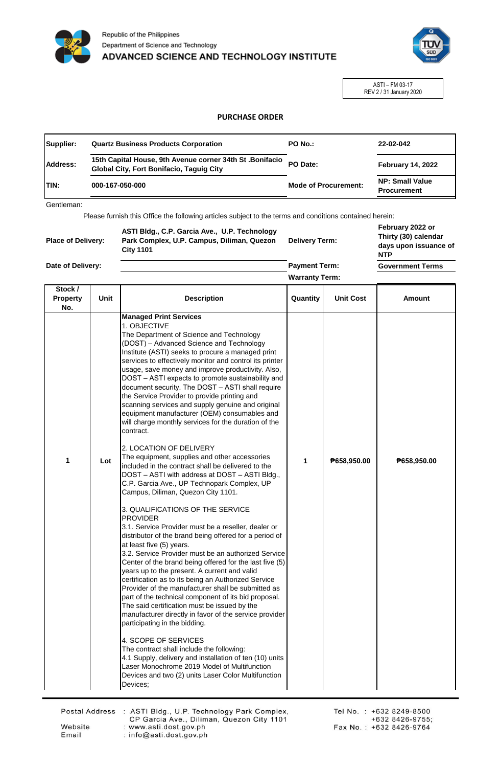



ASTI – FM 03-17 REV 2 / 31 January 2020

## **PURCHASE ORDER**

| Supplier:    | <b>Quartz Business Products Corporation</b>                                                                 | PO No.:                     | 22-02-042                                    |
|--------------|-------------------------------------------------------------------------------------------------------------|-----------------------------|----------------------------------------------|
| Address:     | 15th Capital House, 9th Avenue corner 34th St. Bonifacio<br><b>Global City, Fort Bonifacio, Taguig City</b> | PO Date:                    | <b>February 14, 2022</b>                     |
| <b>ITIN:</b> | 000-167-050-000                                                                                             | <b>Mode of Procurement:</b> | <b>NP: Small Value</b><br><b>Procurement</b> |

Gentleman:

Please furnish this Office the following articles subject to the terms and conditions contained herein:

| <b>Place of Delivery:</b> | ASTI Bldg., C.P. Garcia Ave., U.P. Technology<br>Park Complex, U.P. Campus, Diliman, Quezon<br><b>City 1101</b> | <b>Delivery Term:</b> | February 2022 or<br>Thirty (30) calendar<br>days upon issuance of<br><b>NTP</b> |
|---------------------------|-----------------------------------------------------------------------------------------------------------------|-----------------------|---------------------------------------------------------------------------------|
| Date of Delivery:         |                                                                                                                 | <b>Payment Term:</b>  | <b>Government Terms</b>                                                         |

**Warranty Term:**

| Stock /<br><b>Property</b><br>No. | Unit | <b>Description</b>                                                                                                                                                                                                                                                                                                                                                                                                                                                                                                                                                                                                                                                                                                                                                                                                                                                                                                                    | Quantity | <b>Unit Cost</b> | <b>Amount</b> |
|-----------------------------------|------|---------------------------------------------------------------------------------------------------------------------------------------------------------------------------------------------------------------------------------------------------------------------------------------------------------------------------------------------------------------------------------------------------------------------------------------------------------------------------------------------------------------------------------------------------------------------------------------------------------------------------------------------------------------------------------------------------------------------------------------------------------------------------------------------------------------------------------------------------------------------------------------------------------------------------------------|----------|------------------|---------------|
|                                   |      | <b>Managed Print Services</b><br>1. OBJECTIVE<br>The Department of Science and Technology<br>(DOST) – Advanced Science and Technology<br>Institute (ASTI) seeks to procure a managed print<br>services to effectively monitor and control its printer<br>usage, save money and improve productivity. Also,<br>DOST - ASTI expects to promote sustainability and<br>document security. The DOST - ASTI shall require<br>the Service Provider to provide printing and<br>scanning services and supply genuine and original<br>equipment manufacturer (OEM) consumables and<br>will charge monthly services for the duration of the<br>contract.<br>2. LOCATION OF DELIVERY                                                                                                                                                                                                                                                              |          |                  |               |
| 1                                 | Lot  | The equipment, supplies and other accessories<br>included in the contract shall be delivered to the<br>DOST - ASTI with address at DOST - ASTI Bldg.,<br>C.P. Garcia Ave., UP Technopark Complex, UP<br>Campus, Diliman, Quezon City 1101.                                                                                                                                                                                                                                                                                                                                                                                                                                                                                                                                                                                                                                                                                            | 1        | P658,950.00      | P658,950.00   |
|                                   |      | 3. QUALIFICATIONS OF THE SERVICE<br><b>PROVIDER</b><br>3.1. Service Provider must be a reseller, dealer or<br>distributor of the brand being offered for a period of<br>at least five (5) years.<br>3.2. Service Provider must be an authorized Service<br>Center of the brand being offered for the last five (5)<br>years up to the present. A current and valid<br>certification as to its being an Authorized Service<br>Provider of the manufacturer shall be submitted as<br>part of the technical component of its bid proposal.<br>The said certification must be issued by the<br>manufacturer directly in favor of the service provider<br>participating in the bidding.<br>4. SCOPE OF SERVICES<br>The contract shall include the following:<br>4.1 Supply, delivery and installation of ten (10) units<br>Laser Monochrome 2019 Model of Multifunction<br>Devices and two (2) units Laser Color Multifunction<br>Devices; |          |                  |               |

Website

Email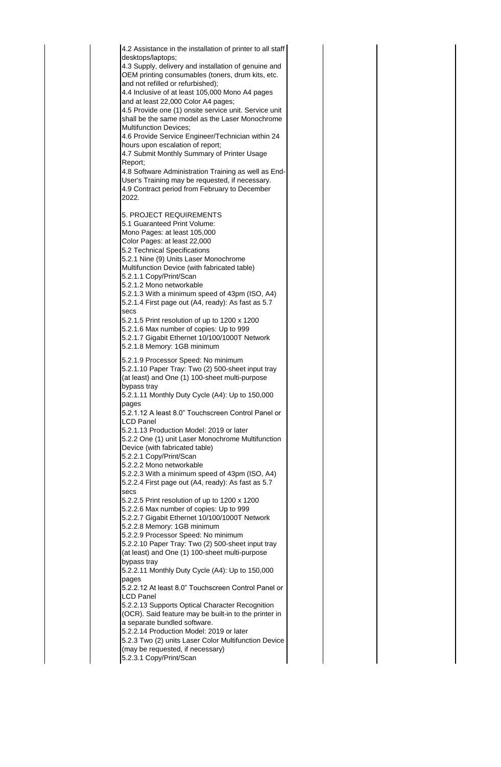4.2 Assistance in the installation of printer to all staff desktops/laptops; 4.3 Supply, delivery and installation of genuine and OEM printing consumables (toners, drum kits, etc. and not refilled or refurbished); 4.4 Inclusive of at least 105,000 Mono A4 pages and at least 22,000 Color A4 pages; 4.5 Provide one (1) onsite service unit. Service unit shall be the same model as the Laser Monochrome Multifunction Devices; 4.6 Provide Service Engineer/Technician within 24 hours upon escalation of report; 4.7 Submit Monthly Summary of Printer Usage Report; 4.8 Software Administration Training as well as End-User's Training may be requested, if necessary. 4.9 Contract period from February to December 2022. 5. PROJECT REQUIREMENTS 5.1 Guaranteed Print Volume: Mono Pages: at least 105,000 Color Pages: at least 22,000 5.2 Technical Specifications 5.2.1 Nine (9) Units Laser Monochrome Multifunction Device (with fabricated table) 5.2.1.1 Copy/Print/Scan 5.2.1.2 Mono networkable 5.2.1.3 With a minimum speed of 43pm (ISO, A4) 5.2.1.4 First page out (A4, ready): As fast as 5.7 secs 5.2.1.5 Print resolution of up to 1200 x 1200 5.2.1.6 Max number of copies: Up to 999 5.2.1.7 Gigabit Ethernet 10/100/1000T Network 5.2.1.8 Memory: 1GB minimum 5.2.1.9 Processor Speed: No minimum 5.2.1.10 Paper Tray: Two (2) 500-sheet input tray (at least) and One (1) 100-sheet multi-purpose bypass tray 5.2.1.11 Monthly Duty Cycle (A4): Up to 150,000 pages 5.2.1.12 A least 8.0" Touchscreen Control Panel or LCD Panel 5.2.1.13 Production Model: 2019 or later 5.2.2 One (1) unit Laser Monochrome Multifunction Device (with fabricated table) 5.2.2.1 Copy/Print/Scan 5.2.2.2 Mono networkable 5.2.2.3 With a minimum speed of 43pm (ISO, A4) 5.2.2.4 First page out (A4, ready): As fast as 5.7 secs 5.2.2.5 Print resolution of up to 1200 x 1200 5.2.2.6 Max number of copies: Up to 999 5.2.2.7 Gigabit Ethernet 10/100/1000T Network 5.2.2.8 Memory: 1GB minimum 5.2.2.9 Processor Speed: No minimum 5.2.2.10 Paper Tray: Two (2) 500-sheet input tray (at least) and One (1) 100-sheet multi-purpose bypass tray 5.2.2.11 Monthly Duty Cycle (A4): Up to 150,000 pages 5.2.2.12 At least 8.0" Touchscreen Control Panel or LCD Panel 5.2.2.13 Supports Optical Character Recognition (OCR). Said feature may be built-in to the printer in a separate bundled software. 5.2.2.14 Production Model: 2019 or later 5.2.3 Two (2) units Laser Color Multifunction Device (may be requested, if necessary) 5.2.3.1 Copy/Print/Scan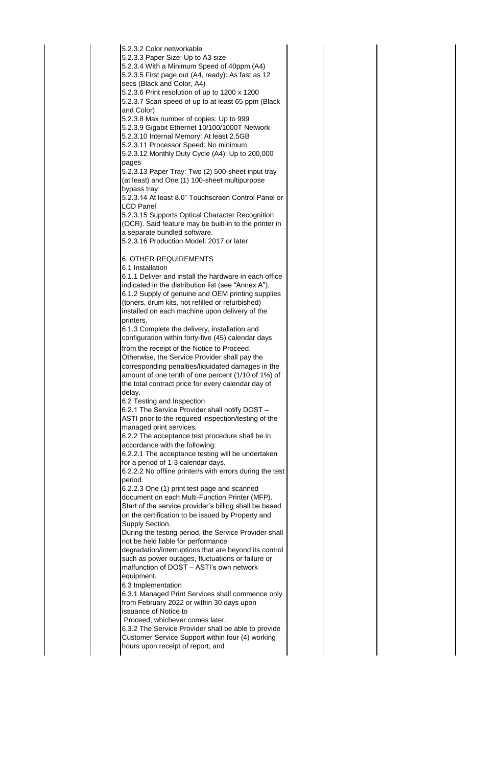5.2.3.2 Color networkable 5.2.3.3 Paper Size: Up to A3 size 5.2.3.4 With a Minimum Speed of 40ppm (A4) 5.2.3.5 First page out (A4, ready): As fast as 12 secs (Black and Color, A4) 5.2.3.6 Print resolution of up to 1200 x 1200 5.2.3.7 Scan speed of up to at least 65 ppm (Black and Color) 5.2.3.8 Max number of copies: Up to 999 5.2.3.9 Gigabit Ethernet 10/100/1000T Network 5.2.3.10 Internal Memory: At least 2.5GB 5.2.3.11 Processor Speed: No minimum 5.2.3.12 Monthly Duty Cycle (A4): Up to 200,000 pages 5.2.3.13 Paper Tray: Two (2) 500-sheet input tray (at least) and One (1) 100-sheet multipurpose bypass tray 5.2.3.14 At least 8.0" Touchscreen Control Panel or LCD Panel 5.2.3.15 Supports Optical Character Recognition (OCR). Said feature may be built-in to the printer in a separate bundled software. 5.2.3.16 Production Model: 2017 or later 6. OTHER REQUIREMENTS 6.1 Installation 6.1.1 Deliver and install the hardware in each office indicated in the distribution list (see "Annex A"). 6.1.2 Supply of genuine and OEM printing supplies (toners, drum kits, not refilled or refurbished) installed on each machine upon delivery of the printers. 6.1.3 Complete the delivery, installation and configuration within forty-five (45) calendar days from the receipt of the Notice to Proceed. Otherwise, the Service Provider shall pay the corresponding penalties/liquidated damages in the amount of one tenth of one percent (1/10 of 1%) of the total contract price for every calendar day of delay. 6.2 Testing and Inspection 6.2.1 The Service Provider shall notify DOST – ASTI prior to the required inspection/testing of the managed print services. 6.2.2 The acceptance test procedure shall be in accordance with the following: 6.2.2.1 The acceptance testing will be undertaken for a period of 1-3 calendar days. 6.2.2.2 No offline printer/s with errors during the test period. 6.2.2.3 One (1) print test page and scanned document on each Multi-Function Printer (MFP). Start of the service provider's billing shall be based on the certification to be issued by Property and Supply Section. During the testing period, the Service Provider shall not be held liable for performance degradation/interruptions that are beyond its control such as power outages, fluctuations or failure or malfunction of DOST – ASTI's own network equipment. 6.3 Implementation 6.3.1 Managed Print Services shall commence only from February 2022 or within 30 days upon issuance of Notice to Proceed, whichever comes later. 6.3.2 The Service Provider shall be able to provide Customer Service Support within four (4) working hours upon receipt of report; and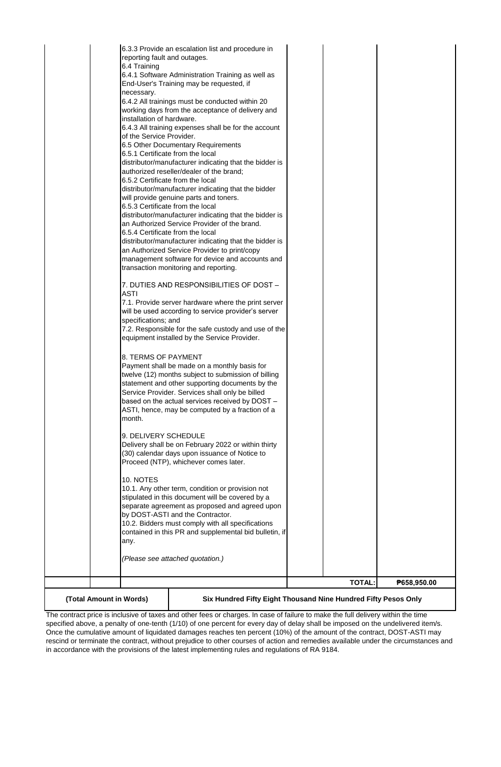| <b>TOTAL:</b><br>₱658,950.00                                                                         |
|------------------------------------------------------------------------------------------------------|
|                                                                                                      |
| (Please see attached quotation.)                                                                     |
|                                                                                                      |
| any.                                                                                                 |
| contained in this PR and supplemental bid bulletin, if                                               |
| 10.2. Bidders must comply with all specifications                                                    |
| by DOST-ASTI and the Contractor.                                                                     |
| separate agreement as proposed and agreed upon                                                       |
| 10.1. Any other term, condition or provision not<br>stipulated in this document will be covered by a |
| 10. NOTES                                                                                            |
|                                                                                                      |
| Proceed (NTP), whichever comes later.                                                                |
| (30) calendar days upon issuance of Notice to                                                        |
| Delivery shall be on February 2022 or within thirty                                                  |
| 9. DELIVERY SCHEDULE                                                                                 |
| month.                                                                                               |
| ASTI, hence, may be computed by a fraction of a                                                      |
| based on the actual services received by DOST -                                                      |
| Service Provider. Services shall only be billed                                                      |
| statement and other supporting documents by the                                                      |
| twelve (12) months subject to submission of billing                                                  |
| Payment shall be made on a monthly basis for                                                         |
| 8. TERMS OF PAYMENT                                                                                  |
| equipment installed by the Service Provider.                                                         |
| 7.2. Responsible for the safe custody and use of the                                                 |
| specifications; and                                                                                  |
| will be used according to service provider's server                                                  |
| 7.1. Provide server hardware where the print server                                                  |
| <b>ASTI</b>                                                                                          |
| 7. DUTIES AND RESPONSIBILITIES OF DOST -                                                             |
|                                                                                                      |
| management software for device and accounts and<br>transaction monitoring and reporting.             |
| an Authorized Service Provider to print/copy                                                         |
| distributor/manufacturer indicating that the bidder is                                               |
| 6.5.4 Certificate from the local                                                                     |
| an Authorized Service Provider of the brand.                                                         |
| distributor/manufacturer indicating that the bidder is                                               |
| 6.5.3 Certificate from the local                                                                     |
| will provide genuine parts and toners.                                                               |
| distributor/manufacturer indicating that the bidder                                                  |
| 6.5.2 Certificate from the local                                                                     |
| distributor/manufacturer indicating that the bidder is<br>authorized reseller/dealer of the brand;   |
|                                                                                                      |
| 6.5 Other Documentary Requirements<br>6.5.1 Certificate from the local                               |
| of the Service Provider.                                                                             |
| 6.4.3 All training expenses shall be for the account                                                 |
| installation of hardware.                                                                            |
| working days from the acceptance of delivery and                                                     |
| 6.4.2 All trainings must be conducted within 20                                                      |
| necessary.                                                                                           |
| End-User's Training may be requested, if                                                             |
| 6.4.1 Software Administration Training as well as                                                    |
| 6.4 Training                                                                                         |
| 6.3.3 Provide an escalation list and procedure in<br>reporting fault and outages.                    |
|                                                                                                      |

**(Total Amount in Words)**

**Six Hundred Fifty Eight Thousand Nine Hundred Fifty Pesos Only**

The contract price is inclusive of taxes and other fees or charges. In case of failure to make the full delivery within the time specified above, a penalty of one-tenth (1/10) of one percent for every day of delay shall be imposed on the undelivered item/s. Once the cumulative amount of liquidated damages reaches ten percent (10%) of the amount of the contract, DOST-ASTI may rescind or terminate the contract, without prejudice to other courses of action and remedies available under the circumstances and in accordance with the provisions of the latest implementing rules and regulations of RA 9184.